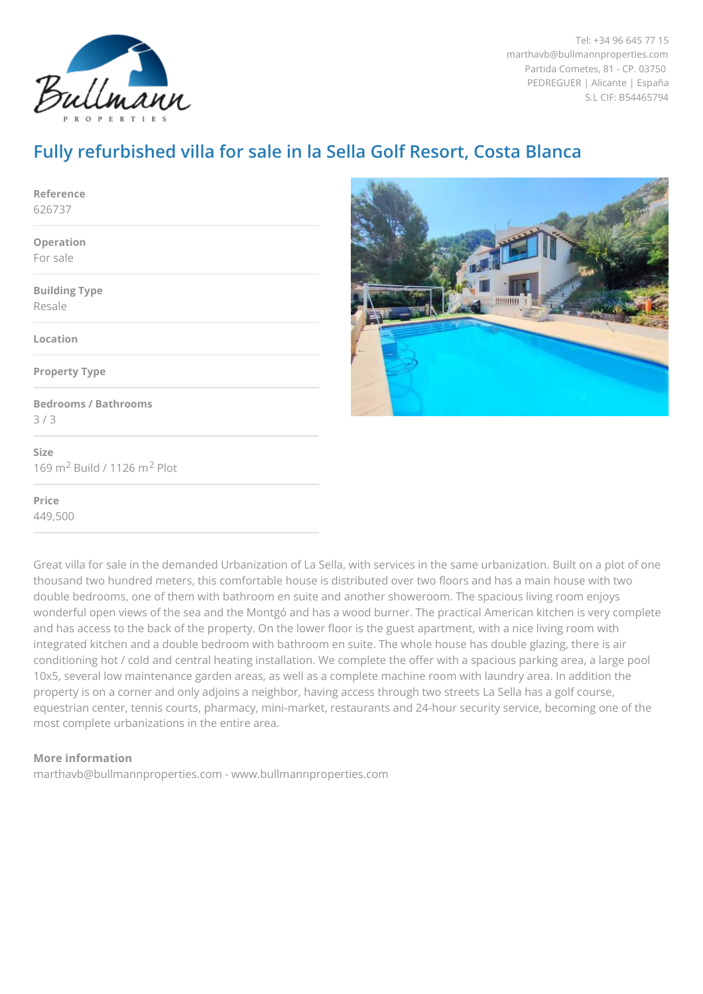

Tel: +34 96 645 77 15 marthavb@bullmannproperties.com Partida Cometes, 81 - CP. 03750 PEDREGUER | Alicante | España S.L CIF: B54465794

## **Fully refurbished villa for sale in la Sella Golf Resort, Costa Blanca**

| Reference                                           |  |
|-----------------------------------------------------|--|
| 626737                                              |  |
| Operation                                           |  |
| For sale                                            |  |
| <b>Building Type</b>                                |  |
| Resale                                              |  |
| Location                                            |  |
| <b>Property Type</b>                                |  |
| <b>Bedrooms / Bathrooms</b>                         |  |
| 3/3                                                 |  |
| Size                                                |  |
| 169 m <sup>2</sup> Build / 1126 m <sup>2</sup> Plot |  |
| Price                                               |  |
| 449,500                                             |  |

Great villa for sale in the demanded Urbanization of La Sella, with services in the same urbanization. Built on a plot of one thousand two hundred meters, this comfortable house is distributed over two floors and has a main house with two double bedrooms, one of them with bathroom en suite and another showeroom. The spacious living room enjoys wonderful open views of the sea and the Montgó and has a wood burner. The practical American kitchen is very complete and has access to the back of the property. On the lower floor is the guest apartment, with a nice living room with integrated kitchen and a double bedroom with bathroom en suite. The whole house has double glazing, there is air conditioning hot / cold and central heating installation. We complete the offer with a spacious parking area, a large pool 10x5, several low maintenance garden areas, as well as a complete machine room with laundry area. In addition the property is on a corner and only adjoins a neighbor, having access through two streets La Sella has a golf course, equestrian center, tennis courts, pharmacy, mini-market, restaurants and 24-hour security service, becoming one of the most complete urbanizations in the entire area.

## **More information**

marthavb@bullmannproperties.com - www.bullmannproperties.com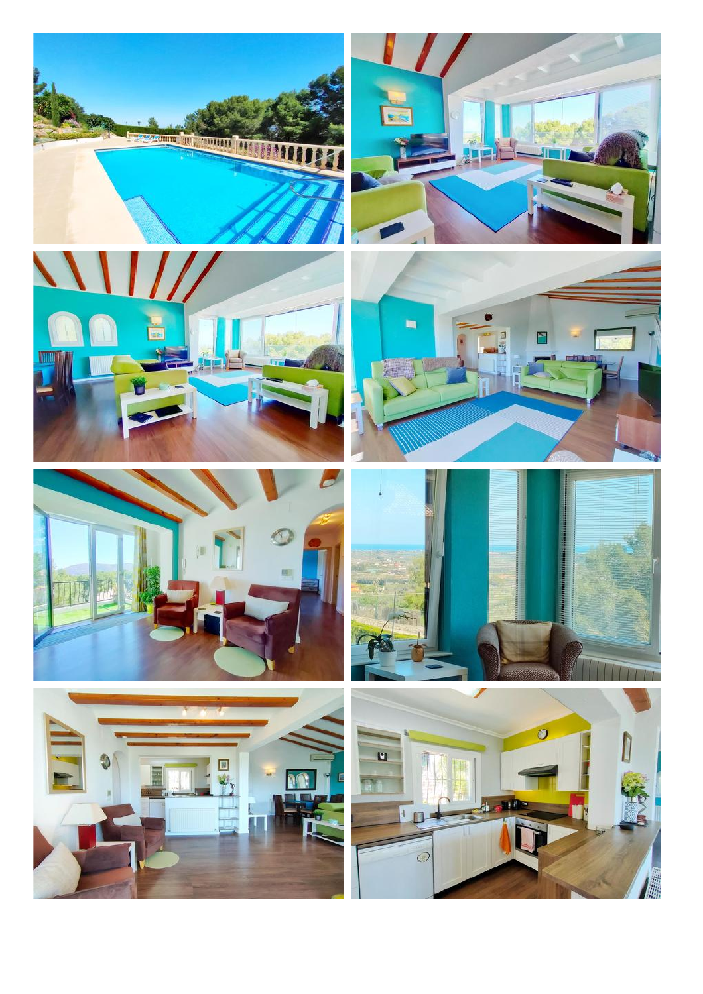













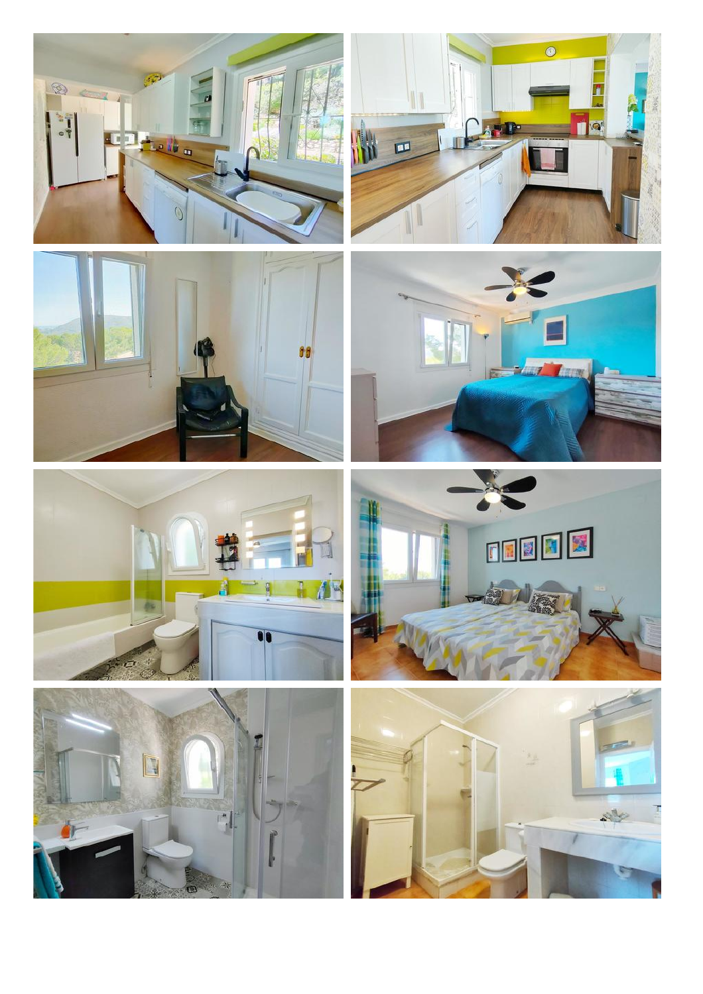